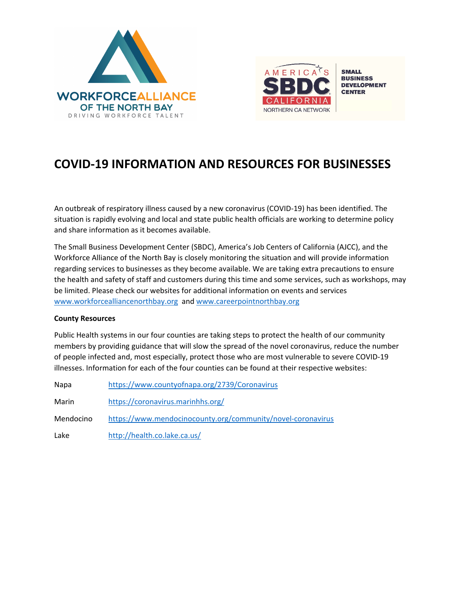



# **COVID-19 INFORMATION AND RESOURCES FOR BUSINESSES**

An outbreak of respiratory illness caused by a new coronavirus (COVID-19) has been identified. The situation is rapidly evolving and local and state public health officials are working to determine policy and share information as it becomes available.

The Small Business Development Center (SBDC), America's Job Centers of California (AJCC), and the Workforce Alliance of the North Bay is closely monitoring the situation and will provide information regarding services to businesses as they become available. We are taking extra precautions to ensure the health and safety of staff and customers during this time and some services, such as workshops, may be limited. Please check our websites for additional information on events and services [www.workforcealliancenorthbay.org](http://www.workforcealliancenorthbay.org/) and [www.careerpointnorthbay.org](http://www.careerpointnorthbay.org/) 

## **County Resources**

Public Health systems in our four counties are taking steps to protect the health of our community members by providing guidance that will slow the spread of the novel coronavirus, reduce the number of people infected and, most especially, protect those who are most vulnerable to severe COVID-19 illnesses. Information for each of the four counties can be found at their respective websites:

| Napa      | https://www.countyofnapa.org/2739/Coronavirus               |
|-----------|-------------------------------------------------------------|
| Marin     | https://coronavirus.marinhhs.org/                           |
| Mendocino | https://www.mendocinocounty.org/community/novel-coronavirus |
| Lake      | http://health.co.lake.ca.us/                                |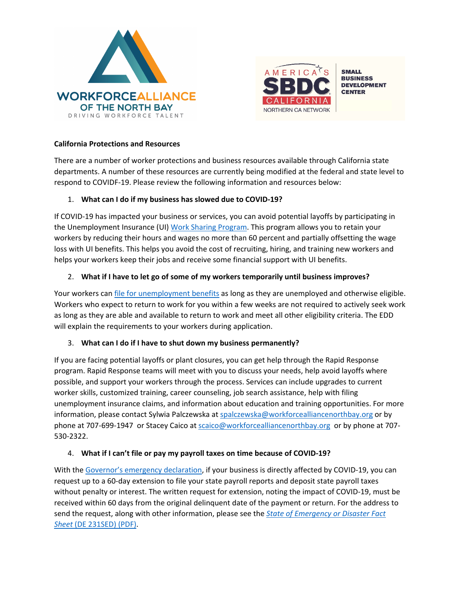



## **California Protections and Resources**

There are a number of worker protections and business resources available through California state departments. A number of these resources are currently being modified at the federal and state level to respond to COVIDF-19. Please review the following information and resources below:

## 1. **What can I do if my business has slowed due to COVID-19?**

If COVID-19 has impacted your business or services, you can avoid potential layoffs by participating in the Unemployment Insurance (UI) [Work Sharing Program.](https://www.edd.ca.gov/unemployment/Work_Sharing_Program.htm) This program allows you to retain your workers by reducing their hours and wages no more than 60 percent and partially offsetting the wage loss with UI benefits. This helps you avoid the cost of recruiting, hiring, and training new workers and helps your workers keep their jobs and receive some financial support with UI benefits.

## 2. **What if I have to let go of some of my workers temporarily until business improves?**

Your workers can [file for unemployment benefits](https://www.edd.ca.gov/Unemployment/Filing_a_Claim.htm) as long as they are unemployed and otherwise eligible. Workers who expect to return to work for you within a few weeks are not required to actively seek work as long as they are able and available to return to work and meet all other eligibility criteria. The EDD will explain the requirements to your workers during application.

# 3. **What can I do if I have to shut down my business permanently?**

If you are facing potential layoffs or plant closures, you can get help through the Rapid Response program. Rapid Response teams will meet with you to discuss your needs, help avoid layoffs where possible, and support your workers through the process. Services can include upgrades to current worker skills, customized training, career counseling, job search assistance, help with filing unemployment insurance claims, and information about education and training opportunities. For more information, please contact Sylwia Palczewska a[t spalczewska@workforcealliancenorthbay.org](mailto:spalczewska@workforcealliancenorthbay.org) or by phone at 707-699-1947 or Stacey Caico at [scaico@workforcealliancenorthbay.org](mailto:scaico@workforcealliancenorthbay.org) or by phone at 707-530-2322.

# 4. **What if I can't file or pay my payroll taxes on time because of COVID-19?**

With the [Governor's emergency declaration,](https://www.gov.ca.gov/2020/03/12/governor-newsom-issues-new-executive-order-further-enhancing-state-and-local-governments-ability-to-respond-to-covid-19-pandemic/) if your business is directly affected by COVID-19, you can request up to a 60-day extension to file your state payroll reports and deposit state payroll taxes without penalty or interest. The written request for extension, noting the impact of COVID-19, must be received within 60 days from the original delinquent date of the payment or return. For the address to send the request, along with other information, please see the *[State of Emergency or Disaster Fact](https://www.edd.ca.gov/pdf_pub_ctr/de231sed.pdf)  Sheet* (DE [231SED\) \(PDF\).](https://www.edd.ca.gov/pdf_pub_ctr/de231sed.pdf)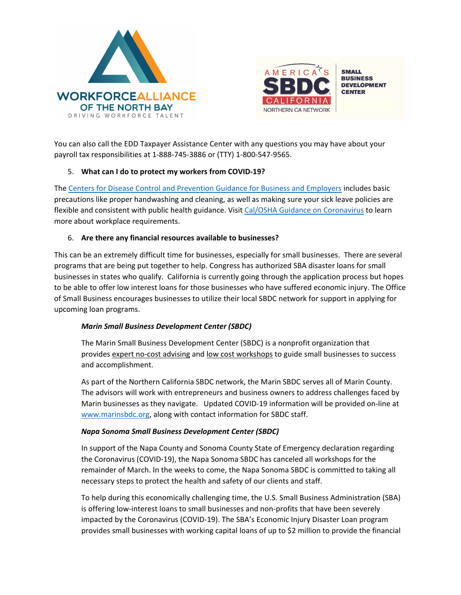



You can also call the EDD Taxpayer Assistance Center with any questions you may have about your payroll tax responsibilities at 1-888-745-3886 or (TTY) 1-800-547-9565.

# 5. **What can I do to protect my workers from COVID-19?**

The [Centers for Disease Control and Prevention Guidance for Business and Employers](https://www.cdc.gov/coronavirus/2019-ncov/community/guidance-business-response.html) includes basic precautions like proper handwashing and cleaning, as well as making sure your sick leave policies are flexible and consistent with public health guidance. Visit [Cal/OSHA Guidance on Coronavirus](https://www.dir.ca.gov/dosh/coronavirus/Health-Care-General-Industry.html) to learn more about workplace requirements.

## 6. **Are there any financial resources available to businesses?**

This can be an extremely difficult time for businesses, especially for small businesses. There are several programs that are being put together to help. Congress has authorized SBA disaster loans for small businesses in states who qualify. California is currently going through the application process but hopes to be able to offer low interest loans for those businesses who have suffered economic injury. The Office of Small Business encourages businesses to utilize their local SBDC network for support in applying for upcoming loan programs.

# *Marin Small Business Development Center (SBDC)*

The Marin Small Business Development Center (SBDC) is a nonprofit organization that provides [expert no-cost advising](https://www.marinsbdc.org/services/one-one-advising-marin-county) and [low cost workshops](https://www.marinsbdc.org/services/trainings-workshops-marin-county) to guide small businesses to success and accomplishment.

As part of the Northern California SBDC network, the Marin SBDC serves all of Marin County. The advisors will work with entrepreneurs and business owners to address challenges faced by Marin businesses as they navigate. Updated COVID-19 information will be provided on-line at [www.marinsbdc.org,](http://www.marinsbdc.org/) along with contact information for SBDC staff.

## *Napa Sonoma Small Business Development Center (SBDC)*

In support of the Napa County and Sonoma County State of Emergency declaration regarding the Coronavirus (COVID-19), the Napa Sonoma SBDC has canceled all workshops for the remainder of March. In the weeks to come, the Napa Sonoma SBDC is committed to taking all necessary steps to protect the health and safety of our clients and staff.

To help during this economically challenging time, the U.S. Small Business Administration (SBA) is offering low-interest loans to small businesses and non-profits that have been severely impacted by the Coronavirus (COVID-19). The SBA's Economic Injury Disaster Loan program provides small businesses with working capital loans of up to \$2 million to provide the financial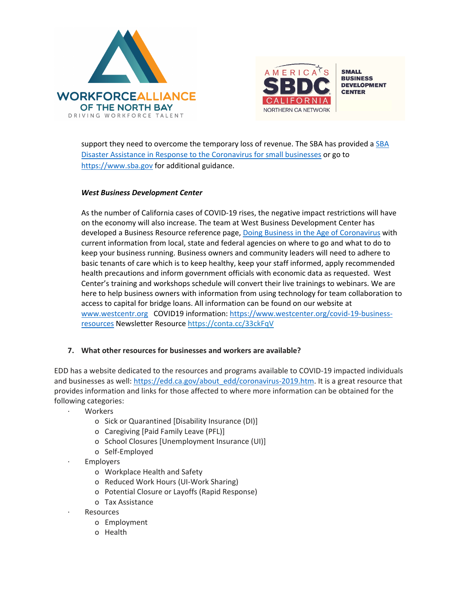



support they need to overcome the temporary loss of revenue. The [SBA](https://www.sba.gov/about-sba/sba-newsroom/press-releases-media-advisories/sba-provide-disaster-assistance-loans-small-businesses-impacted-coronavirus-covid-19) has provided a SBA [Disaster Assistance in Response to the Coronavirus](https://www.sba.gov/about-sba/sba-newsroom/press-releases-media-advisories/sba-provide-disaster-assistance-loans-small-businesses-impacted-coronavirus-covid-19) for small businesses or go to [https://www.sba.gov](https://www.sba.gov/page/guidance-businesses-employers-plan-respond-coronavirus-disease-2019-covid-19#section-header-0) for additional guidance.

## *West Business Development Center*

As the number of California cases of COVID-19 rises, the negative impact restrictions will have on the economy will also increase. The team at West Business Development Center has developed a Business Resource reference page, [Doing Business in the Age of Coronavirus](https://www.westcenter.org/covid-19-business-resources) with current information from local, state and federal agencies on where to go and what to do to keep your business running. Business owners and community leaders will need to adhere to basic tenants of care which is to keep healthy, keep your staff informed, apply recommended health precautions and inform government officials with economic data as requested. West Center's training and workshops schedule will convert their live trainings to webinars. We are here to help business owners with information from using technology for team collaboration to access to capital for bridge loans. All information can be found on our website at [www.westcentr.org](http://www.westcentr.org/) COVID19 information: [https://www.westcenter.org/covid-19-business](https://www.westcenter.org/covid-19-business-resources)[resources](https://www.westcenter.org/covid-19-business-resources) Newsletter Resourc[e https://conta.cc/33ckFqV](https://conta.cc/33ckFqV)

## **7. What other resources for businesses and workers are available?**

EDD has a website dedicated to the resources and programs available to COVID-19 impacted individuals and businesses as well: [https://edd.ca.gov/about\\_edd/coronavirus-2019.htm.](https://edd.ca.gov/about_edd/coronavirus-2019.htm) It is a great resource that provides information and links for those affected to where more information can be obtained for the following categories:

- **Workers** 
	- o Sick or Quarantined [Disability Insurance (DI)]
	- o Caregiving [Paid Family Leave (PFL)]
	- o School Closures [Unemployment Insurance (UI)]
	- o Self-Employed
- **Employers** 
	- o Workplace Health and Safety
	- o Reduced Work Hours (UI-Work Sharing)
	- o Potential Closure or Layoffs (Rapid Response)
	- o Tax Assistance
- **Resources** 
	- o Employment
	- o Health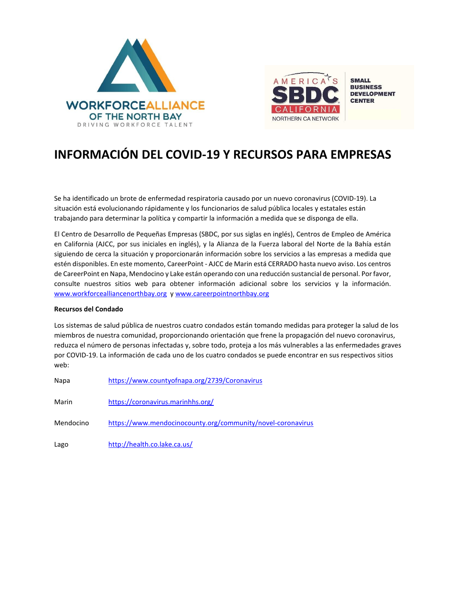



# **INFORMACIÓN DEL COVID-19 Y RECURSOS PARA EMPRESAS**

Se ha identificado un brote de enfermedad respiratoria causado por un nuevo coronavirus (COVID-19). La situación está evolucionando rápidamente y los funcionarios de salud pública locales y estatales están trabajando para determinar la política y compartir la información a medida que se disponga de ella.

El Centro de Desarrollo de Pequeñas Empresas (SBDC, por sus siglas en inglés), Centros de Empleo de América en California (AJCC, por sus iniciales en inglés), y la Alianza de la Fuerza laboral del Norte de la Bahía están siguiendo de cerca la situación y proporcionarán información sobre los servicios a las empresas a medida que estén disponibles. En este momento, CareerPoint - AJCC de Marin está CERRADO hasta nuevo aviso. Los centros de CareerPoint en Napa, Mendocino y Lake están operando con una reducción sustancial de personal. Por favor, consulte nuestros sitios web para obtener información adicional sobre los servicios y la información. www.workforcealliancenorthbay.org y [www.careerpointnorthbay.org](http://www.careerpointnorthbay.org/)

#### **Recursos del Condado**

Los sistemas de salud pública de nuestros cuatro condados están tomando medidas para proteger la salud de los miembros de nuestra comunidad, proporcionando orientación que frene la propagación del nuevo coronavirus, reduzca el número de personas infectadas y, sobre todo, proteja a los más vulnerables a las enfermedades graves por COVID-19. La información de cada uno de los cuatro condados se puede encontrar en sus respectivos sitios web:

| Napa      | https://www.countyofnapa.org/2739/Coronavirus               |
|-----------|-------------------------------------------------------------|
| Marin     | https://coronavirus.marinhhs.org/                           |
| Mendocino | https://www.mendocinocounty.org/community/novel-coronavirus |
| Lago      | http://health.co.lake.ca.us/                                |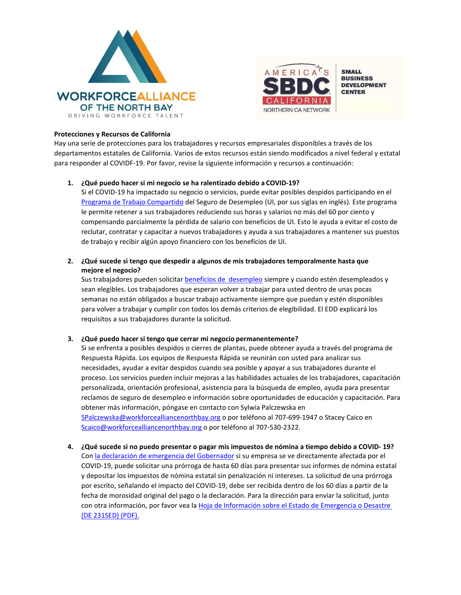



#### **Protecciones y Recursos de California**

Hay una serie de protecciones para los trabajadores y recursos empresariales disponibles a través de los departamentos estatales de California. Varios de estos recursos están siendo modificados a nivel federal y estatal para responder al COVIDF-19. Por favor, revise la siguiente información y recursos a continuación:

#### **1. ¿Qué puedo hacer si mi negocio se ha ralentizado debido a COVID-19?**

Si el COVID-19 ha impactado su negocio o servicios, puede evitar posibles despidos participando en el [Programa de Trabajo Compartido](https://www.edd.ca.gov/unemployment/Work_Sharing_Program.htm) del Seguro de Desempleo (UI, por sus siglas en inglés[\). E](https://www.edd.ca.gov/unemployment/Work_Sharing_Program.htm)ste programa le permite retener a sus trabajadores reduciendo sus horas y salarios no más del 60 por ciento y compensando parcialmente la pérdida de salario con beneficios de UI. Esto le ayuda a evitar el costo de reclutar, contratar y capacitar a nuevos trabajadores y ayuda a sus trabajadores a mantener sus puestos de trabajo y recibir algún apoyo financiero con los beneficios de UI.

## **2. ¿Qué sucede si tengo que despedir a algunos de mis trabajadores temporalmente hasta que mejore el negocio?**

Sus trabajadores pueden solicita[r beneficios de desempleo](https://www.edd.ca.gov/Unemployment/Filing_a_Claim.htm) siempre y cuando estén desempleados y sean elegibles. Los trabajadores que esperan volver a trabajar para usted dentro de unas pocas semanas no están obligados a buscar trabajo activamente siempre que puedan y estén disponibles para volver a trabajar y cumplir con todos los demás criterios de elegibilidad. El EDD explicará los requisitos a sus trabajadores durante la solicitud.

### **3. ¿Qué puedo hacer si tengo que cerrar mi negocio permanentemente?**

Si se enfrenta a posibles despidos o cierres de plantas, puede obtener ayuda a través del programa de Respuesta Rápida. Los equipos de Respuesta Rápida se reunirán con usted para analizar sus necesidades, ayudar a evitar despidos cuando sea posible y apoyar a sus trabajadores durante el proceso. Los servicios pueden incluir mejoras a las habilidades actuales de los trabajadores, capacitación personalizada, orientación profesional, asistencia para la búsqueda de empleo, ayuda para presentar reclamos de seguro de desempleo e información sobre oportunidades de educación y capacitación. Para obtener más información, póngase en contacto con Sylwia Palczewska en [SPalczewska@workforcealliancenorthbay.org](mailto:SPalczewska@workforcealliancenorthbay.org) o por teléfono al 707-699-1947 o Stacey Caico en

[Scaico@workforcealliancenorthbay.org](mailto:Scaico@workforcealliancenorthbay.org) o por teléfono al 707-530-2322. **4. ¿Qué sucede si no puedo presentar o pagar mis impuestos de nómina a tiempo debido a COVID- 19?** Con [la declaración de emergencia del Gobernador](https://www.gov.ca.gov/2020/03/12/governor-newsom-issues-new-executive-order-further-enhancing-state-and-local-governments-ability-to-respond-to-covid-19-pandemic/) si su empresa se ve directamente afectada por el COVID-19, puede solicitar una prórroga de hasta 60 días para presentar sus informes de nómina estatal

y depositar los impuestos de nómina estatal sin penalización ni intereses. La solicitud de una prórroga por escrito, señalando el impacto del COVID-19, debe ser recibida dentro de los 60 días a partir de la fecha de morosidad original del pago o la declaración. Para la dirección para enviar la solicitud, junto con otra información, por favor vea l[a Hoja de Información sobre el Estado de Emergencia o Desastre](https://www.edd.ca.gov/pdf_pub_ctr/de231sed.pdf)  [\(DE 231SED\) \(PDF\).](https://www.edd.ca.gov/pdf_pub_ctr/de231sed.pdf)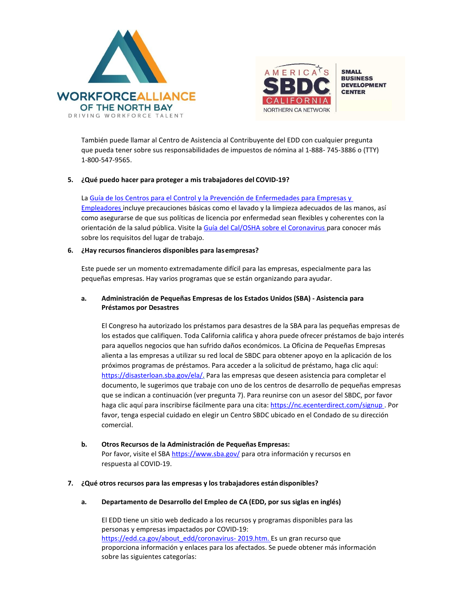



También puede llamar al Centro de Asistencia al Contribuyente del EDD con cualquier pregunta que pueda tener sobre sus responsabilidades de impuestos de nómina al 1-888- 745-3886 o (TTY) 1-800-547-9565.

#### **5. ¿Qué puedo hacer para proteger a mis trabajadores del COVID-19?**

La [Guía de los Centros para el Control y la Prevención de Enfermedades](https://www.cdc.gov/coronavirus/2019-ncov/community/guidance-business-response.html) para Empresas y [Empleadores in](https://www.cdc.gov/coronavirus/2019-ncov/community/guidance-business-response.html)cluye precauciones básicas como el lavado y la limpieza adecuados de las manos, así como asegurarse de que sus políticas de licencia por enfermedad sean flexibles y coherentes con la orientación de la salud pública. Visite l[a Guía del Cal/OSHA sobre el](https://www.dir.ca.gov/dosh/coronavirus/Health-Care-General-Industry.html) [Coronavirus p](https://www.dir.ca.gov/dosh/coronavirus/Health-Care-General-Industry.html)ara conocer más sobre los requisitos del lugar de trabajo.

#### **6. ¿Hay recursos financieros disponibles para lasempresas?**

Este puede ser un momento extremadamente difícil para las empresas, especialmente para las pequeñas empresas. Hay varios programas que se están organizando para ayudar.

### **a. Administración de Pequeñas Empresas de los Estados Unidos (SBA) - Asistencia para Préstamos por Desastres**

El Congreso ha autorizado los préstamos para desastres de la SBA para las pequeñas empresas de los estados que califiquen. Toda California califica y ahora puede ofrecer préstamos de bajo interés para aquellos negocios que han sufrido daños económicos. La Oficina de Pequeñas Empresas alienta a las empresas a utilizar su red local de SBDC para obtener apoyo en la aplicación de los próximos programas de préstamos. Para acceder a la solicitud de préstamo, haga clic aquí: [https://disasterloan.sba.gov/ela/.](https://disasterloan.sba.gov/ela/) Para las empresas que deseen asistencia para completar el documento, le sugerimos que trabaje con uno de los centros de desarrollo de pequeñas empresas que se indican a continuación (ver pregunta 7). Para reunirse con un asesor del SBDC, por favor haga clic aquí para inscribirse fácilmente para una cita[: https://nc.ecenterdirect.com/signup .](https://nc.ecenterdirect.com/signup) Por favor, tenga especial cuidado en elegir un Centro SBDC ubicado en el Condado de su dirección comercial.

## **b. Otros Recursos de la Administración de Pequeñas Empresas:** Por favor, visite el SBA<https://www.sba.gov/> para otra información y recursos en respuesta al COVID-19.

#### **7. ¿Qué otros recursos para las empresas y los trabajadores están disponibles?**

### **a. Departamento de Desarrollo del Empleo de CA (EDD, por sus siglas en inglés)**

El EDD tiene un sitio web dedicado a los recursos y programas disponibles para las personas y empresas impactados por COVID-19: [https://edd.ca.gov/about\\_edd/coronavirus-](https://edd.ca.gov/about_edd/coronavirus-2019.htm) [2019.htm. E](https://edd.ca.gov/about_edd/coronavirus-2019.htm)s un gran recurso que proporciona información y enlaces para los afectados. Se puede obtener más información sobre las siguientes categorías: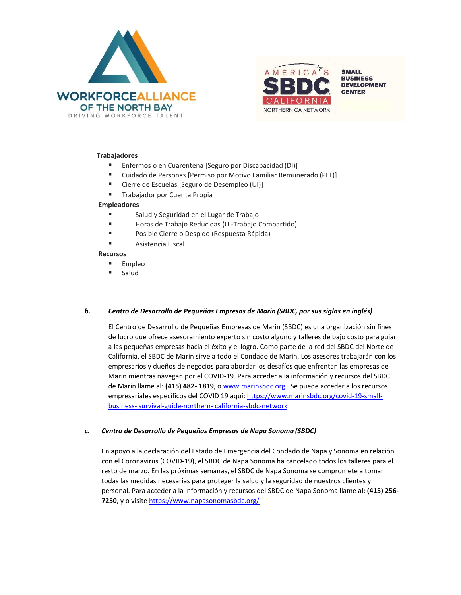



#### **Trabajadores**

- Enfermos o en Cuarentena [Seguro por Discapacidad (DI)]
- Cuidado de Personas [Permiso por Motivo Familiar Remunerado (PFL)]
- Cierre de Escuelas [Seguro de Desempleo (UI)]
- Trabajador por Cuenta Propia

### **Empleadores**

- Salud y Seguridad en el Lugar de Trabajo
- Horas de Trabajo Reducidas (UI-Trabajo Compartido)
- **Posible Cierre o Despido (Respuesta Rápida)**
- Asistencia Fiscal

#### **Recursos**

- **Empleo**
- **Salud**

### *b. Centro de Desarrollo de Pequeñas Empresas de Marin (SBDC, por sus siglas en inglés)*

El Centro de Desarrollo de Pequeñas Empresas de Marin (SBDC) es una organización sin fines de lucro que ofrec[e asesoramiento experto sin costo alguno](https://www.marinsbdc.org/services/one-one-advising-marin-county) [y talleres de bajo](https://www.marinsbdc.org/services/trainings-workshops-marin-county) [costo](https://www.marinsbdc.org/services/trainings-workshops-marin-county) para guiar a las pequeñas empresas hacia el éxito y el logro. Como parte de la red del SBDC del Norte de California, el SBDC de Marin sirve a todo el Condado de Marin. Los asesores trabajarán con los empresarios y dueños de negocios para abordar los desafíos que enfrentan las empresas de Marin mientras navegan por el COVID-19. Para acceder a la información y recursos del SBDC de Marin llame al: **(415) 482- 1819**, [o www.marinsbdc.org.](http://www.marinsbdc.org/) Se puede acceder a los recursos empresariales específicos del COVID 19 aquí: [https://www.marinsbdc.org/covid-19-small](https://www.marinsbdc.org/covid-19-small-business-survival-guide-northern-california-sbdc-network)[business-](https://www.marinsbdc.org/covid-19-small-business-survival-guide-northern-california-sbdc-network) [survival-guide-northern-](https://www.marinsbdc.org/covid-19-small-business-survival-guide-northern-california-sbdc-network) [california-sbdc-network](https://www.marinsbdc.org/covid-19-small-business-survival-guide-northern-california-sbdc-network)

### *c. Centro de Desarrollo de Pequeñas Empresas de Napa Sonoma (SBDC)*

En apoyo a la declaración del Estado de Emergencia del Condado de Napa y Sonoma en relación con el Coronavirus (COVID-19), el SBDC de Napa Sonoma ha cancelado todos los talleres para el resto de marzo. En las próximas semanas, el SBDC de Napa Sonoma se compromete a tomar todas las medidas necesarias para proteger la salud y la seguridad de nuestros clientes y personal. Para acceder a la información y recursos del SBDC de Napa Sonoma llame al: **(415) 256- 7250**, y o visite<https://www.napasonomasbdc.org/>